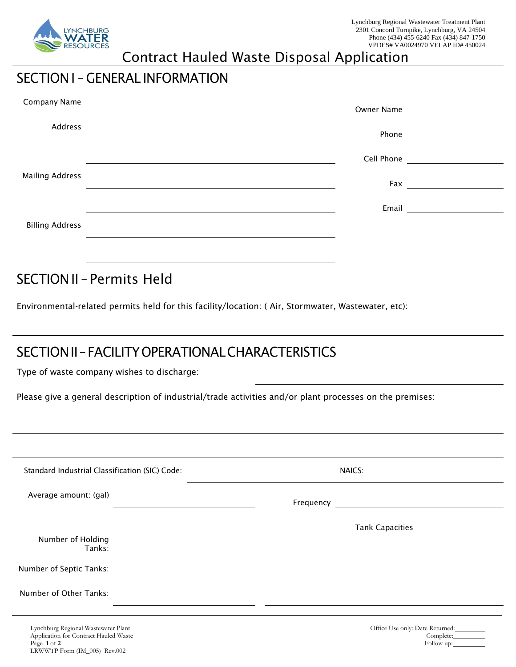

## Contract Hauled Waste Disposal Application

## SECTION I – GENERAL INFORMATION

| Company Name           | <b>Owner Name</b> |                                 |
|------------------------|-------------------|---------------------------------|
| Address                |                   |                                 |
|                        |                   | Cell Phone <u>_____________</u> |
| <b>Mailing Address</b> |                   |                                 |
|                        | Email             |                                 |
| <b>Billing Address</b> |                   |                                 |
|                        |                   |                                 |

SECTION II – Permits Held

Environmental-related permits held for this facility/location: ( Air, Stormwater, Wastewater, etc):

# SECTION II – FACILITY OPERATIONAL CHARACTERISTICS

Type of waste company wishes to discharge:

Please give a general description of industrial/trade activities and/or plant processes on the premises:

| Standard Industrial Classification (SIC) Code: | NAICS:                 |  |
|------------------------------------------------|------------------------|--|
| Average amount: (gal)                          |                        |  |
| Number of Holding                              | <b>Tank Capacities</b> |  |
| Tanks:<br>Number of Septic Tanks:              |                        |  |
| Number of Other Tanks:                         |                        |  |
| Lynchburg Regional Wastewater Plant            |                        |  |
| Application for Contract Hauled Waste          |                        |  |